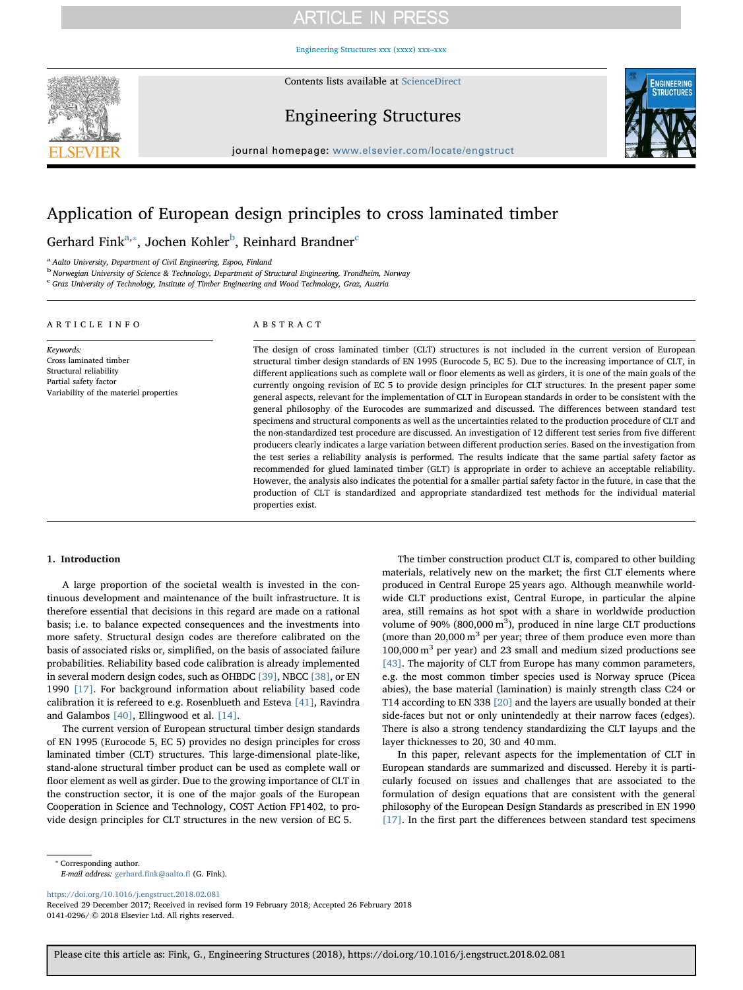## **ARTICLE IN PRESS**

[Engineering Structures xxx \(xxxx\) xxx–xxx](https://doi.org/10.1016/j.engstruct.2018.02.081)



Contents lists available at [ScienceDirect](http://www.sciencedirect.com/science/journal/01410296)

## Engineering Structures



journal homepage: [www.elsevier.com/locate/engstruct](https://www.elsevier.com/locate/engstruct)

## Application of European design principles to cross laminated timber

Gerhard Fink $a,*$ , Jochen Kohler $^b$ , Reinhard Brandner $^c$ 

<sup>a</sup> Aalto University, Department of Civil Engineering, Espoo, Finland

<sup>b</sup> Norwegian University of Science & Technology, Department of Structural Engineering, Trondheim, Norway

c Graz University of Technology, Institute of Timber Engineering and Wood Technology, Graz, Austria

| ARTICLE INFO                                                                                                                     | ABSTRACT                                                                                                                                                                                                                                                                                                                                                                                                                                                                                                                                                                                                                                                                                                                                                                                                                                                                                                                                                                                                                                                                                                                                                                                                                                                                                                                                                                                                                                                                                                                                                       |
|----------------------------------------------------------------------------------------------------------------------------------|----------------------------------------------------------------------------------------------------------------------------------------------------------------------------------------------------------------------------------------------------------------------------------------------------------------------------------------------------------------------------------------------------------------------------------------------------------------------------------------------------------------------------------------------------------------------------------------------------------------------------------------------------------------------------------------------------------------------------------------------------------------------------------------------------------------------------------------------------------------------------------------------------------------------------------------------------------------------------------------------------------------------------------------------------------------------------------------------------------------------------------------------------------------------------------------------------------------------------------------------------------------------------------------------------------------------------------------------------------------------------------------------------------------------------------------------------------------------------------------------------------------------------------------------------------------|
| Keywords:<br>Cross laminated timber<br>Structural reliability<br>Partial safety factor<br>Variability of the materiel properties | The design of cross laminated timber (CLT) structures is not included in the current version of European<br>structural timber design standards of EN 1995 (Eurocode 5, EC 5). Due to the increasing importance of CLT, in<br>different applications such as complete wall or floor elements as well as girders, it is one of the main goals of the<br>currently ongoing revision of EC 5 to provide design principles for CLT structures. In the present paper some<br>general aspects, relevant for the implementation of CLT in European standards in order to be consistent with the<br>general philosophy of the Eurocodes are summarized and discussed. The differences between standard test<br>specimens and structural components as well as the uncertainties related to the production procedure of CLT and<br>the non-standardized test procedure are discussed. An investigation of 12 different test series from five different<br>producers clearly indicates a large variation between different production series. Based on the investigation from<br>the test series a reliability analysis is performed. The results indicate that the same partial safety factor as<br>recommended for glued laminated timber (GLT) is appropriate in order to achieve an acceptable reliability.<br>However, the analysis also indicates the potential for a smaller partial safety factor in the future, in case that the<br>production of CLT is standardized and appropriate standardized test methods for the individual material<br>properties exist. |

### 1. Introduction

A large proportion of the societal wealth is invested in the continuous development and maintenance of the built infrastructure. It is therefore essential that decisions in this regard are made on a rational basis; i.e. to balance expected consequences and the investments into more safety. Structural design codes are therefore calibrated on the basis of associated risks or, simplified, on the basis of associated failure probabilities. Reliability based code calibration is already implemented in several modern design codes, such as OHBDC [39], NBCC [38], or EN 1990 [17]. For background information about reliability based code calibration it is refereed to e.g. Rosenblueth and Esteva [41], Ravindra and Galambos [40], Ellingwood et al. [14].

The current version of European structural timber design standards of EN 1995 (Eurocode 5, EC 5) provides no design principles for cross laminated timber (CLT) structures. This large-dimensional plate-like, stand-alone structural timber product can be used as complete wall or floor element as well as girder. Due to the growing importance of CLT in the construction sector, it is one of the major goals of the European Cooperation in Science and Technology, COST Action FP1402, to provide design principles for CLT structures in the new version of EC 5.

The timber construction product CLT is, compared to other building materials, relatively new on the market; the first CLT elements where produced in Central Europe 25 years ago. Although meanwhile worldwide CLT productions exist, Central Europe, in particular the alpine area, still remains as hot spot with a share in worldwide production volume of  $90\%$  (800,000 m<sup>3</sup>), produced in nine large CLT productions (more than  $20,000 \text{ m}^3$  per year; three of them produce even more than  $100,000 \text{ m}^3$  per year) and 23 small and medium sized productions see [43]. The majority of CLT from Europe has many common parameters, e.g. the most common timber species used is Norway spruce (Picea abies), the base material (lamination) is mainly strength class C24 or T14 according to EN 338 [20] and the layers are usually bonded at their side-faces but not or only unintendedly at their narrow faces (edges). There is also a strong tendency standardizing the CLT layups and the layer thicknesses to 20, 30 and 40 mm.

In this paper, relevant aspects for the implementation of CLT in European standards are summarized and discussed. Hereby it is particularly focused on issues and challenges that are associated to the formulation of design equations that are consistent with the general philosophy of the European Design Standards as prescribed in EN 1990 [17]. In the first part the differences between standard test specimens

⁎ Corresponding author.

E-mail address: gerhard.fi[nk@aalto.](mailto:gerhard.fink@aalto.fi)fi (G. Fink).

<https://doi.org/10.1016/j.engstruct.2018.02.081>

Received 29 December 2017; Received in revised form 19 February 2018; Accepted 26 February 2018 0141-0296/ © 2018 Elsevier Ltd. All rights reserved.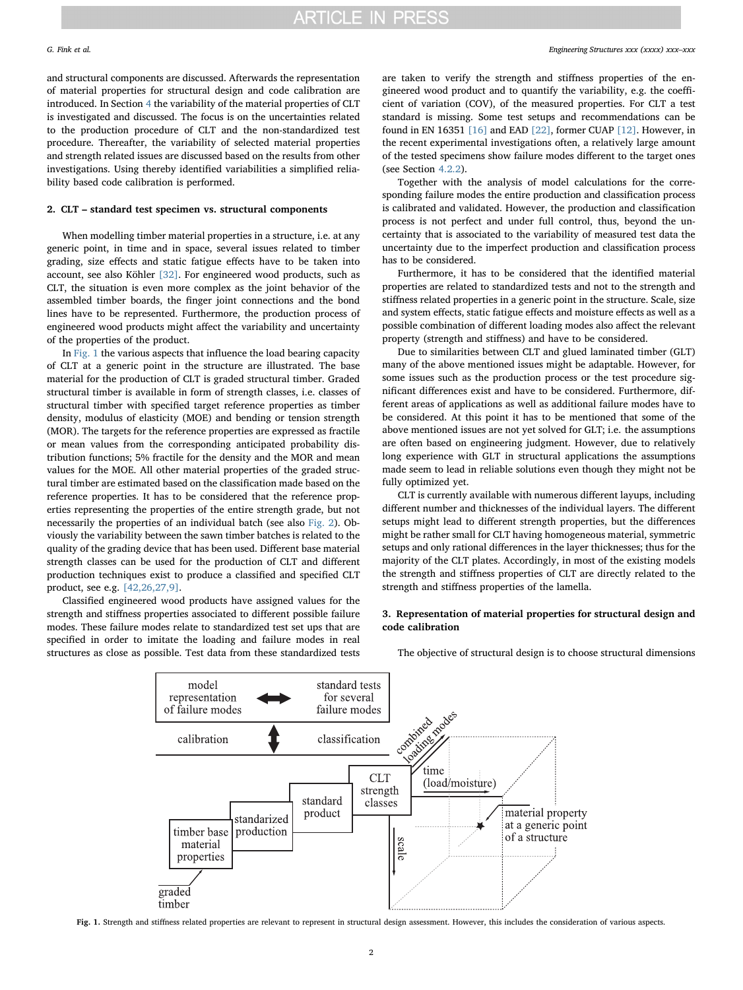and structural components are discussed. Afterwards the representation of material properties for structural design and code calibration are introduced. In Section 4 the variability of the material properties of CLT is investigated and discussed. The focus is on the uncertainties related to the production procedure of CLT and the non-standardized test procedure. Thereafter, the variability of selected material properties and strength related issues are discussed based on the results from other investigations. Using thereby identified variabilities a simplified reliability based code calibration is performed.

### 2. CLT – standard test specimen vs. structural components

When modelling timber material properties in a structure, i.e. at any generic point, in time and in space, several issues related to timber grading, size effects and static fatigue effects have to be taken into account, see also Köhler [32]. For engineered wood products, such as CLT, the situation is even more complex as the joint behavior of the assembled timber boards, the finger joint connections and the bond lines have to be represented. Furthermore, the production process of engineered wood products might affect the variability and uncertainty of the properties of the product.

In Fig. 1 the various aspects that influence the load bearing capacity of CLT at a generic point in the structure are illustrated. The base material for the production of CLT is graded structural timber. Graded structural timber is available in form of strength classes, i.e. classes of structural timber with specified target reference properties as timber density, modulus of elasticity (MOE) and bending or tension strength (MOR). The targets for the reference properties are expressed as fractile or mean values from the corresponding anticipated probability distribution functions; 5% fractile for the density and the MOR and mean values for the MOE. All other material properties of the graded structural timber are estimated based on the classification made based on the reference properties. It has to be considered that the reference properties representing the properties of the entire strength grade, but not necessarily the properties of an individual batch (see also Fig. 2). Obviously the variability between the sawn timber batches is related to the quality of the grading device that has been used. Different base material strength classes can be used for the production of CLT and different production techniques exist to produce a classified and specified CLT product, see e.g. [42,26,27,9].

Classified engineered wood products have assigned values for the strength and stiffness properties associated to different possible failure modes. These failure modes relate to standardized test set ups that are specified in order to imitate the loading and failure modes in real structures as close as possible. Test data from these standardized tests

are taken to verify the strength and stiffness properties of the engineered wood product and to quantify the variability, e.g. the coefficient of variation (COV), of the measured properties. For CLT a test standard is missing. Some test setups and recommendations can be found in EN 16351 [16] and EAD [22], former CUAP [12]. However, in the recent experimental investigations often, a relatively large amount of the tested specimens show failure modes different to the target ones (see Section 4.2.2).

Together with the analysis of model calculations for the corresponding failure modes the entire production and classification process is calibrated and validated. However, the production and classification process is not perfect and under full control, thus, beyond the uncertainty that is associated to the variability of measured test data the uncertainty due to the imperfect production and classification process has to be considered.

Furthermore, it has to be considered that the identified material properties are related to standardized tests and not to the strength and stiffness related properties in a generic point in the structure. Scale, size and system effects, static fatigue effects and moisture effects as well as a possible combination of different loading modes also affect the relevant property (strength and stiffness) and have to be considered.

Due to similarities between CLT and glued laminated timber (GLT) many of the above mentioned issues might be adaptable. However, for some issues such as the production process or the test procedure significant differences exist and have to be considered. Furthermore, different areas of applications as well as additional failure modes have to be considered. At this point it has to be mentioned that some of the above mentioned issues are not yet solved for GLT; i.e. the assumptions are often based on engineering judgment. However, due to relatively long experience with GLT in structural applications the assumptions made seem to lead in reliable solutions even though they might not be fully optimized yet.

CLT is currently available with numerous different layups, including different number and thicknesses of the individual layers. The different setups might lead to different strength properties, but the differences might be rather small for CLT having homogeneous material, symmetric setups and only rational differences in the layer thicknesses; thus for the majority of the CLT plates. Accordingly, in most of the existing models the strength and stiffness properties of CLT are directly related to the strength and stiffness properties of the lamella.

### 3. Representation of material properties for structural design and code calibration

The objective of structural design is to choose structural dimensions



Fig. 1. Strength and stiffness related properties are relevant to represent in structural design assessment. However, this includes the consideration of various aspects.